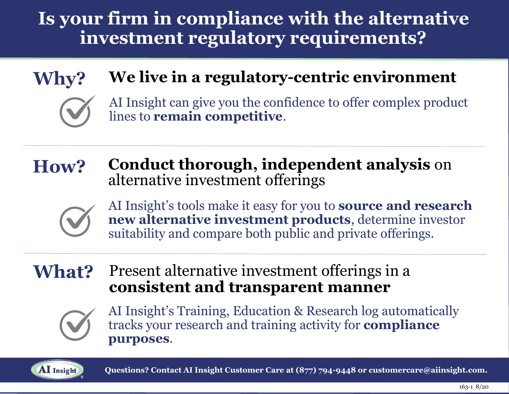# **Is your firm in compliance with the alternative investment regulatory requirements?**

## **Why?**

### **We live in a regulatory-centric environment**



AI Insight can give you the confidence to offer complex product lines to **remain competitive**.

#### **How? Conduct thorough, independent analysis** on alternative investment offerings



AI Insight's tools make it easy for you to **source and research new alternative investment products**, determine investor suitability and compare both public and private offerings.

**What?** Present alternative investment offerings in a **consistent and transparent manner**



AI Insight's Training, Education & Research log automatically tracks your research and training activity for **compliance purposes**.



 **Questions? Contact AI Insight Customer Care at (877) 794-9448 or customercare@aiinsight.com.**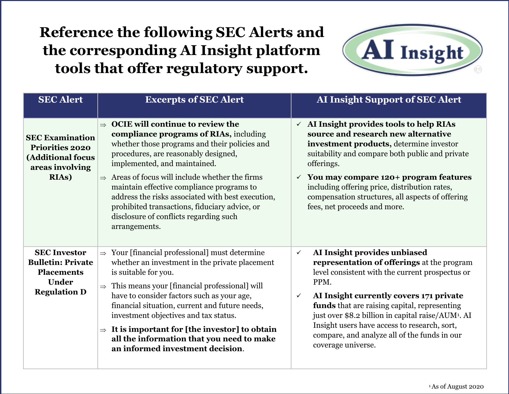#### **Reference the following SEC Alerts and the corresponding AI Insight platform tools that offer regulatory support.**



| <b>SEC Alert</b>                                                                                            | <b>Excerpts of SEC Alert</b>                                                                                                                                                                                                                                                                                                                                                                                                                                                                             | <b>AI Insight Support of SEC Alert</b>                                                                                                                                                                                                                                                                                                                                                                                                                   |
|-------------------------------------------------------------------------------------------------------------|----------------------------------------------------------------------------------------------------------------------------------------------------------------------------------------------------------------------------------------------------------------------------------------------------------------------------------------------------------------------------------------------------------------------------------------------------------------------------------------------------------|----------------------------------------------------------------------------------------------------------------------------------------------------------------------------------------------------------------------------------------------------------------------------------------------------------------------------------------------------------------------------------------------------------------------------------------------------------|
| <b>SEC Examination</b><br><b>Priorities 2020</b><br>(Additional focus<br>areas involving<br><b>RIAs</b> )   | <b>OCIE will continue to review the</b><br>$\Rightarrow$<br>compliance programs of RIAs, including<br>whether those programs and their policies and<br>procedures, are reasonably designed,<br>implemented, and maintained.<br>$\Rightarrow$ Areas of focus will include whether the firms<br>maintain effective compliance programs to<br>address the risks associated with best execution,<br>prohibited transactions, fiduciary advice, or<br>disclosure of conflicts regarding such<br>arrangements. | $\checkmark$ AI Insight provides tools to help RIAs<br>source and research new alternative<br>investment products, determine investor<br>suitability and compare both public and private<br>offerings.<br>$\checkmark$ You may compare 120+ program features<br>including offering price, distribution rates,<br>compensation structures, all aspects of offering<br>fees, net proceeds and more.                                                        |
| <b>SEC Investor</b><br><b>Bulletin: Private</b><br><b>Placements</b><br><b>Under</b><br><b>Regulation D</b> | $\Rightarrow$ Your [financial professional] must determine<br>whether an investment in the private placement<br>is suitable for you.<br>This means your [financial professional] will<br>$\Rightarrow$<br>have to consider factors such as your age,<br>financial situation, current and future needs,<br>investment objectives and tax status.<br>$\Rightarrow$ It is important for [the investor] to obtain<br>all the information that you need to make<br>an informed investment decision.           | AI Insight provides unbiased<br>$\checkmark$<br>representation of offerings at the program<br>level consistent with the current prospectus or<br>PPM.<br>AI Insight currently covers 171 private<br>$\checkmark$<br>funds that are raising capital, representing<br>just over \$8.2 billion in capital raise/AUM <sup>1</sup> . AI<br>Insight users have access to research, sort,<br>compare, and analyze all of the funds in our<br>coverage universe. |